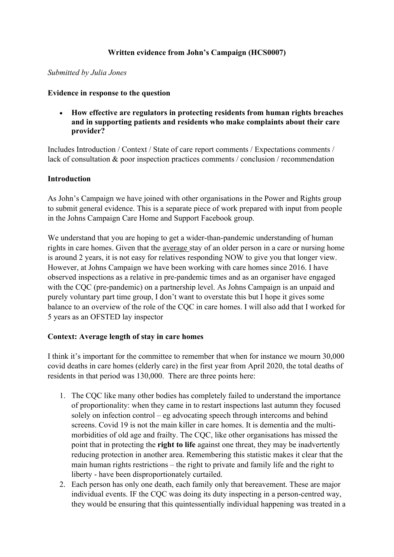# **Written evidence from John's Campaign (HCS0007)**

#### *Submitted by Julia Jones*

#### **Evidence in response to the question**

 **How effective are regulators in protecting residents from human rights breaches and in supporting patients and residents who make complaints about their care provider?**

Includes Introduction / Context / State of care report comments / Expectations comments / lack of consultation & poor inspection practices comments / conclusion / recommendation

#### **Introduction**

As John's Campaign we have joined with other organisations in the Power and Rights group to submit general evidence. This is a separate piece of work prepared with input from people in the Johns Campaign Care Home and Support Facebook group.

We understand that you are hoping to get a wider-than-pandemic understanding of human rights in care homes. Given that the average stay of an older person in a care or nursing home is around 2 years, it is not easy for relatives responding NOW to give you that longer view. However, at Johns Campaign we have been working with care homes since 2016. I have observed inspections as a relative in pre-pandemic times and as an organiser have engaged with the COC (pre-pandemic) on a partnership level. As Johns Campaign is an unpaid and purely voluntary part time group, I don't want to overstate this but I hope it gives some balance to an overview of the role of the CQC in care homes. I will also add that I worked for 5 years as an OFSTED lay inspector

## **Context: Average length of stay in care homes**

I think it's important for the committee to remember that when for instance we mourn 30,000 covid deaths in care homes (elderly care) in the first year from April 2020, the total deaths of residents in that period was 130,000. There are three points here:

- 1. The CQC like many other bodies has completely failed to understand the importance of proportionality: when they came in to restart inspections last autumn they focused solely on infection control – eg advocating speech through intercoms and behind screens. Covid 19 is not the main killer in care homes. It is dementia and the multimorbidities of old age and frailty. The CQC, like other organisations has missed the point that in protecting the **right to life** against one threat, they may be inadvertently reducing protection in another area. Remembering this statistic makes it clear that the main human rights restrictions – the right to private and family life and the right to liberty - have been disproportionately curtailed.
- 2. Each person has only one death, each family only that bereavement. These are major individual events. IF the CQC was doing its duty inspecting in a person-centred way, they would be ensuring that this quintessentially individual happening was treated in a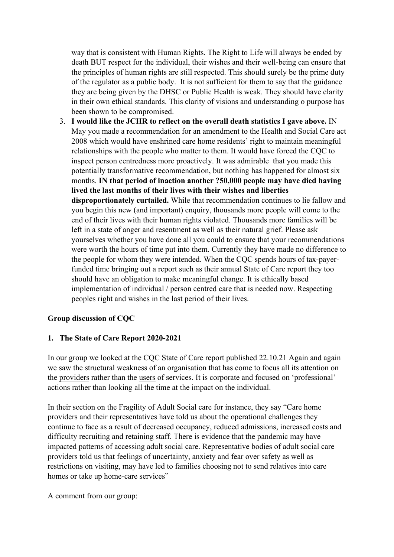way that is consistent with Human Rights. The Right to Life will always be ended by death BUT respect for the individual, their wishes and their well-being can ensure that the principles of human rights are still respected. This should surely be the prime duty of the regulator as a public body. It is not sufficient for them to say that the guidance they are being given by the DHSC or Public Health is weak. They should have clarity in their own ethical standards. This clarity of visions and understanding o purpose has been shown to be compromised.

3. **I would like the JCHR to reflect on the overall death statistics I gave above.** IN May you made a recommendation for an amendment to the Health and Social Care act 2008 which would have enshrined care home residents' right to maintain meaningful relationships with the people who matter to them. It would have forced the CQC to inspect person centredness more proactively. It was admirable that you made this potentially transformative recommendation, but nothing has happened for almost six months. **IN that period of inaction another ?50,000 people may have died having lived the last months of their lives with their wishes and liberties disproportionately curtailed.** While that recommendation continues to lie fallow and you begin this new (and important) enquiry, thousands more people will come to the end of their lives with their human rights violated. Thousands more families will be left in a state of anger and resentment as well as their natural grief. Please ask yourselves whether you have done all you could to ensure that your recommendations were worth the hours of time put into them. Currently they have made no difference to the people for whom they were intended. When the CQC spends hours of tax-payerfunded time bringing out a report such as their annual State of Care report they too should have an obligation to make meaningful change. It is ethically based implementation of individual / person centred care that is needed now. Respecting peoples right and wishes in the last period of their lives.

# **Group discussion of CQC**

## **1. The State of Care Report 2020-2021**

In our group we looked at the CQC State of Care report published 22.10.21 Again and again we saw the structural weakness of an organisation that has come to focus all its attention on the providers rather than the users of services. It is corporate and focused on 'professional' actions rather than looking all the time at the impact on the individual.

In their section on the Fragility of Adult Social care for instance, they say "Care home providers and their representatives have told us about the operational challenges they continue to face as a result of decreased occupancy, reduced admissions, increased costs and difficulty recruiting and retaining staff. There is evidence that the pandemic may have impacted patterns of accessing adult social care. Representative bodies of adult social care providers told us that feelings of uncertainty, anxiety and fear over safety as well as restrictions on visiting, may have led to families choosing not to send relatives into care homes or take up home-care services"

A comment from our group: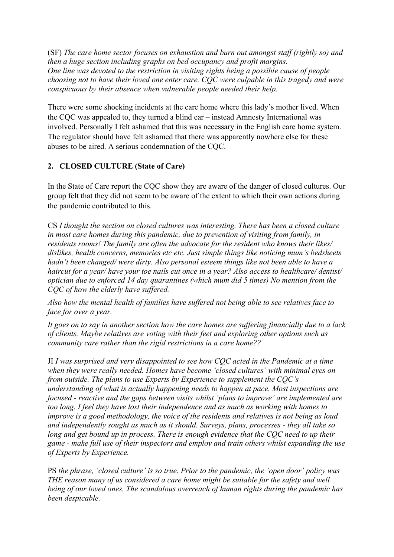(SF) *The care home sector focuses on exhaustion and burn out amongst staff (rightly so) and then a huge section including graphs on bed occupancy and profit margins. One line was devoted to the restriction in visiting rights being a possible cause of people choosing not to have their loved one enter care. CQC were culpable in this tragedy and were conspicuous by their absence when vulnerable people needed their help.*

There were some shocking incidents at the care home where this lady's mother lived. When the CQC was appealed to, they turned a blind ear – instead Amnesty International was involved. Personally I felt ashamed that this was necessary in the English care home system. The regulator should have felt ashamed that there was apparently nowhere else for these abuses to be aired. A serious condemnation of the CQC.

# **2. CLOSED CULTURE (State of Care)**

In the State of Care report the CQC show they are aware of the danger of closed cultures. Our group felt that they did not seem to be aware of the extent to which their own actions during the pandemic contributed to this.

CS *I thought the section on closed cultures was interesting. There has been a closed culture in most care homes during this pandemic, due to prevention of visiting from family, in residents rooms! The family are often the advocate for the resident who knows their likes/ dislikes, health concerns, memories etc etc. Just simple things like noticing mum's bedsheets hadn't been changed/ were dirty. Also personal esteem things like not been able to have a haircut for a year/ have your toe nails cut once in a year? Also access to healthcare/ dentist/ optician due to enforced 14 day quarantines (which mum did 5 times) No mention from the CQC of how the elderly have suffered.*

*Also how the mental health of families have suffered not being able to see relatives face to face for over a year.*

It goes on to say in another section how the care homes are suffering financially due to a lack *of clients. Maybe relatives are voting with their feet and exploring other options such as community care rather than the rigid restrictions in a care home??*

JI *I was surprised and very disappointed to see how CQC acted in the Pandemic at a time when they were really needed. Homes have become 'closed cultures' with minimal eyes on from outside. The plans to use Experts by Experience to supplement the CQC's understanding of what is actually happening needs to happen at pace. Most inspections are focused - reactive and the gaps between visits whilst 'plans to improve' are implemented are too long. I feel they have lost their independence and as much as working with homes to improve is a good methodology, the voice of the residents and relatives is not being as loud and independently sought as much as it should. Surveys, plans, processes - they all take so long and get bound up in process. There is enough evidence that the CQC need to up their game - make full use of their inspectors and employ and train others whilst expanding the use of Experts by Experience.*

PS *the phrase, 'closed culture' is so true. Prior to the pandemic, the 'open door' policy was THE reason many of us considered a care home might be suitable for the safety and well being of our loved ones. The scandalous overreach of human rights during the pandemic has been despicable.*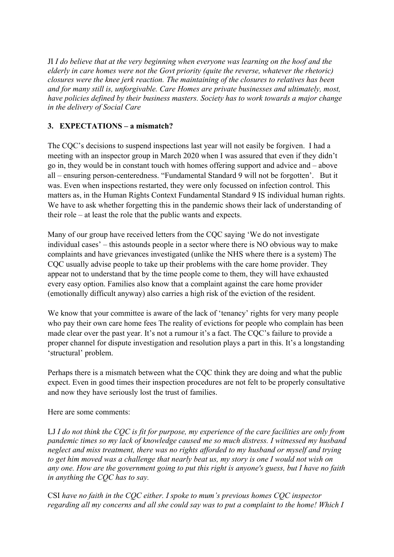JI *I do believe that at the very beginning when everyone was learning on the hoof and the elderly in care homes were not the Govt priority (quite the reverse, whatever the rhetoric) closures were the knee jerk reaction. The maintaining of the closures to relatives has been and for many still is, unforgivable. Care Homes are private businesses and ultimately, most, have policies defined by their business masters. Society has to work towards a major change in the delivery of Social Care*

# **3. EXPECTATIONS – a mismatch?**

The CQC's decisions to suspend inspections last year will not easily be forgiven. I had a meeting with an inspector group in March 2020 when I was assured that even if they didn't go in, they would be in constant touch with homes offering support and advice and – above all – ensuring person-centeredness. "Fundamental Standard 9 will not be forgotten'. But it was. Even when inspections restarted, they were only focussed on infection control. This matters as, in the Human Rights Context Fundamental Standard 9 IS individual human rights. We have to ask whether forgetting this in the pandemic shows their lack of understanding of their role – at least the role that the public wants and expects.

Many of our group have received letters from the CQC saying 'We do not investigate individual cases' – this astounds people in a sector where there is NO obvious way to make complaints and have grievances investigated (unlike the NHS where there is a system) The CQC usually advise people to take up their problems with the care home provider. They appear not to understand that by the time people come to them, they will have exhausted every easy option. Families also know that a complaint against the care home provider (emotionally difficult anyway) also carries a high risk of the eviction of the resident.

We know that your committee is aware of the lack of 'tenancy' rights for very many people who pay their own care home fees The reality of evictions for people who complain has been made clear over the past year. It's not a rumour it's a fact. The CQC's failure to provide a proper channel for dispute investigation and resolution plays a part in this. It's a longstanding 'structural' problem.

Perhaps there is a mismatch between what the CQC think they are doing and what the public expect. Even in good times their inspection procedures are not felt to be properly consultative and now they have seriously lost the trust of families.

Here are some comments:

LJ  $I$  do not think the COC is fit for purpose, my experience of the care facilities are only from *pandemic times so my lack of knowledge caused me so much distress. I witnessed my husband neglect and miss treatment, there was no rights afforded to my husband or myself and trying* to get him moved was a challenge that nearly beat us, my story is one I would not wish on any one. How are the government going to put this right is anyone's guess, but I have no faith *in anything the CQC has to say.*

CSI *have no faith in the CQC either. I spoke to mum's previous homes CQC inspector regarding all my concerns and all she could say was to put a complaint to the home! Which I*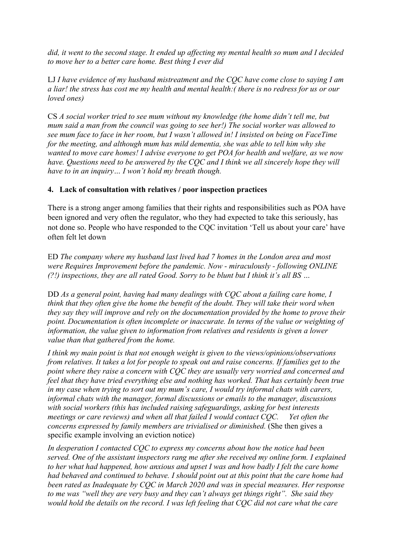did, it went to the second stage. It ended up affecting my mental health so mum and I decided *to move her to a better care home. Best thing I ever did*

LJ *I have evidence of my husband mistreatment and the CQC have come close to saying I am* a liar! the stress has cost me my health and mental health: (there is no redress for us or our *loved ones)*

CS *A social worker tried to see mum without my knowledge (the home didn't tell me, but mum said a man from the council was going to see her!) The social worker was allowed to see mum face to face in her room, but I wasn't allowed in! I insisted on being on FaceTime for the meeting, and although mum has mild dementia, she was able to tell him why she wanted to move care homes! I advise everyone to get POA for health and welfare, as we now have. Questions need to be answered by the CQC and I think we all sincerely hope they will have to in an inquiry… I won't hold my breath though.*

# **4. Lack of consultation with relatives / poor inspection practices**

There is a strong anger among families that their rights and responsibilities such as POA have been ignored and very often the regulator, who they had expected to take this seriously, has not done so. People who have responded to the CQC invitation 'Tell us about your care' have often felt let down

ED *The company where my husband last lived had 7 homes in the London area and most were Requires Improvement before the pandemic. Now - miraculously - following ONLINE (?!) inspections, they are all rated Good. Sorry to be blunt but I think it's all BS …*

DD *As a general point, having had many dealings with CQC about a failing care home, I think that they often give the home the benefit of the doubt. They will take their word when they say they will improve and rely on the documentation provided by the home to prove their point. Documentation is often incomplete or inaccurate. In terms of the value or weighting of information, the value given to information from relatives and residents is given a lower value than that gathered from the home.*

*I think my main point is that not enough weight is given to the views/opinions/observations* from relatives. It takes a lot for people to speak out and raise concerns. If families get to the *point where they raise a concern with CQC they are usually very worried and concerned and feel that they have tried everything else and nothing has worked. That has certainly been true in my case when trying to sort out my mum's care, I would try informal chats with carers, informal chats with the manager, formal discussions or emails to the manager, discussions with social workers (this has included raising safeguardings, asking for best interests meetings or care reviews) and when all that failed I would contact CQC. Yet often the concerns expressed by family members are trivialised or diminished.* (She then gives a specific example involving an eviction notice)

*In desperation I contacted CQC to express my concerns about how the notice had been served. One of the assistant inspectors rang me after she received my online form. I explained to her what had happened, how anxious and upset I was and how badly I felt the care home had behaved and continued to behave. I should point out at this point that the care home had been rated as Inadequate by CQC in March 2020 and was in special measures. Her response to me was "well they are very busy and they can't always get things right". She said they* would hold the details on the record. I was left feeling that COC did not care what the care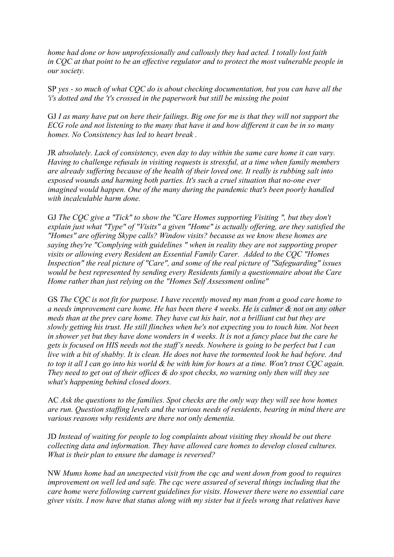*home had done or how unprofessionally and callously they had acted. I totally lost faith in CQC at that point to be an effective regulator and to protect the most vulnerable people in our society.*

SP *yes - so much of what CQC do is about checking documentation, but you can have all the 'i's dotted and the 't's crossed in the paperwork but still be missing the point*

GJ I as many have put on here their failings. Big one for me is that they will not support the ECG role and not listening to the many that have it and how different it can be in so many *homes. No Consistency has led to heart break .*

JR *absolutely. Lack of consistency, even day to day within the same care home it can vary. Having to challenge refusals in visiting requests is stressful, at a time when family members are already suffering because of the health of their loved one. It really is rubbing salt into exposed wounds and harming both parties. It's such a cruel situation that no-one ever imagined would happen. One of the many during the pandemic that's been poorly handled with incalculable harm done.*

GJ *The CQC give a "Tick" to show the "Care Homes supporting Visiting ", but they don't explain just what "Type" of "Visits" a given "Home" is actually offering, are they satisfied the "Homes" are offering Skype calls? Window visits? because as we know these homes are saying they're "Complying with guidelines " when in reality they are not supporting proper visits or allowing every Resident an Essential Family Carer. Added to the CQC "Homes Inspection" the real picture of "Care", and some of the real picture of "Safeguarding" issues would be best represented by sending every Residents family a questionnaire about the Care Home rather than just relying on the "Homes Self Assessment online"*

GS *The CQC is not fit for purpose. I have recently moved my man from a good care home to a needs improvement care home. He has been there 4 weeks. He is calmer & not on any other meds than at the prev care home. They have cut his hair, not a brilliant cut but they are slowly getting his trust. He still flinches when he's not expecting you to touch him. Not been* in shower yet but they have done wonders in 4 weeks. It is not a fancy place but the care he gets is focused on HIS needs not the staff's needs. Nowhere is going to be perfect but I can live with a bit of shabby. It is clean. He does not have the tormented look he had before. And to top it all I can go into his world  $\&$  be with him for hours at a time. Won't trust COC again. *They need to get out of their offices & do spot checks, no warning only then will they see what's happening behind closed doors.*

AC *Ask the questions to the families. Spot checks are the only way they will see how homes are run. Question staffing levels and the various needs of residents, bearing in mind there are various reasons why residents are there not only dementia.*

JD *Instead of waiting for people to log complaints about visiting they should be out there collecting data and information. They have allowed care homes to develop closed cultures. What is their plan to ensure the damage is reversed?*

NW *Mums home had an unexpected visit from the cqc and went down from good to requires improvement on well led and safe. The cqc were assured of several things including that the care home were following current guidelines for visits. However there were no essential care giver visits. I now have that status along with my sister but it feels wrong that relatives have*